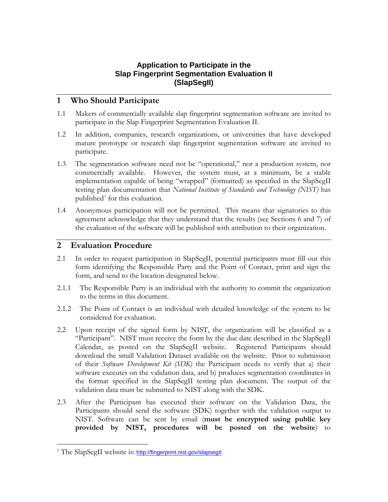## **Application to Participate in the Slap Fingerprint Segmentation Evaluation II (SlapSegII)**

## **1 Who Should Participate**

- 1.1 Makers of commercially available slap fingerprint segmentation software are invited to participate in the Slap Fingerprint Segmentation Evaluation II.
- 1.2 In addition, companies, research organizations, or universities that have developed mature prototype or research slap fingerprint segmentation software are invited to participate.
- 1.3 The segmentation software need not be "operational," nor a production system, nor commercially available. However, the system must, at a minimum, be a stable implementation capable of being "wrapped" (formatted) as specified in the SlapSegII testing plan documentation that *National Institute of Standards and Technology (NIST)* has published<sup>[1](#page-0-0)</sup> for this evaluation.
- 1.4 Anonymous participation will not be permitted. This means that signatories to this agreement acknowledge that they understand that the results (see Sections 6 and 7) of the evaluation of the software will be published with attribution to their organization.

## **2 Evaluation Procedure**

- 2.1 In order to request participation in SlapSegII, potential participants must fill out this form identifying the Responsible Party and the Point of Contact, print and sign the form, and send to the location designated below.
- 2.1.1 The Responsible Party is an individual with the authority to commit the organization to the terms in this document.
- 2.1.2 The Point of Contact is an individual with detailed knowledge of the system to be considered for evaluation.
- 2.2 Upon receipt of the signed form by NIST, the organization will be classified as a "Participant". NIST must receive the form by the due date described in the SlapSegII Calendar, as posted on the SlapSegII website. Registered Participants should download the small Validation Dataset available on the website. Prior to submission of their *Software Development Kit (SDK)* the Participant needs to verify that a) their software executes on the validation data, and b) produces segmentation coordinates in the format specified in the SlapSegII testing plan document. The output of the validation data must be submitted to NIST along with the SDK.
- 2.3 After the Participant has executed their software on the Validation Data, the Participants should send the software (SDK) together with the validation output to NIST. Software can be sent by email (**must be encrypted using public key provided by NIST, procedures will be posted on the website**) to

 $\overline{a}$ 

<span id="page-0-0"></span><sup>&</sup>lt;sup>1</sup> The SlapSegII website is: <http://fingerprint.nist.gov/slapsegII>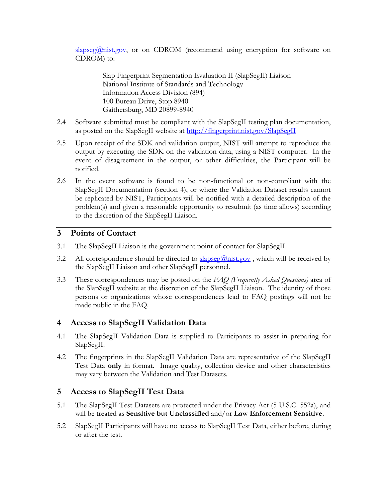$\frac{\text{slapse}(Q \text{mist.gov})}{\text{vol}}$  or on CDROM (recommend using encryption for software on CDROM) to:

> Slap Fingerprint Segmentation Evaluation II (SlapSegII) Liaison National Institute of Standards and Technology Information Access Division (894) 100 Bureau Drive, Stop 8940 Gaithersburg, MD 20899-8940

- 2.4 Software submitted must be compliant with the SlapSegII testing plan documentation, as posted on the SlapSegII website at http://fingerprint.nist.gov/SlapSegII
- 2.5 Upon receipt of the SDK and validation output, NIST will attempt to reproduce the output by executing the SDK on the validation data, using a NIST computer. In the event of disagreement in the output, or other difficulties, the Participant will be notified.
- 2.6 In the event software is found to be non-functional or non-compliant with the SlapSegII Documentation (section 4), or where the Validation Dataset results cannot be replicated by NIST, Participants will be notified with a detailed description of the problem(s) and given a reasonable opportunity to resubmit (as time allows) according to the discretion of the SlapSegII Liaison.

## **3 Points of Contact**

- 3.1 The SlapSegII Liaison is the government point of contact for SlapSegII.
- 3.2 All correspondence should be directed to [slapseg@nist.gov](mailto:slapseg@nist.gov), which will be received by the SlapSegII Liaison and other SlapSegII personnel.
- 3.3 These correspondences may be posted on the *FAQ (Frequently Asked Questions)* area of the SlapSegII website at the discretion of the SlapSegII Liaison. The identity of those persons or organizations whose correspondences lead to FAQ postings will not be made public in the FAQ.

#### **4 Access to SlapSegII Validation Data**

- 4.1 The SlapSegII Validation Data is supplied to Participants to assist in preparing for SlapSegII.
- 4.2 The fingerprints in the SlapSegII Validation Data are representative of the SlapSegII Test Data **only** in format. Image quality, collection device and other characteristics may vary between the Validation and Test Datasets.

# **5 Access to SlapSegII Test Data**

- 5.1 The SlapSegII Test Datasets are protected under the Privacy Act (5 U.S.C. 552a), and will be treated as **Sensitive but Unclassified** and/or **Law Enforcement Sensitive.**
- 5.2 SlapSegII Participants will have no access to SlapSegII Test Data, either before, during or after the test.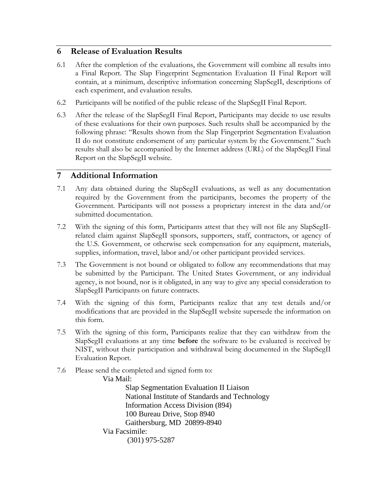# **6 Release of Evaluation Results**

- 6.1 After the completion of the evaluations, the Government will combine all results into a Final Report. The Slap Fingerprint Segmentation Evaluation II Final Report will contain, at a minimum, descriptive information concerning SlapSegII, descriptions of each experiment, and evaluation results.
- 6.2 Participants will be notified of the public release of the SlapSegII Final Report.
- 6.3 After the release of the SlapSegII Final Report, Participants may decide to use results of these evaluations for their own purposes. Such results shall be accompanied by the following phrase: "Results shown from the Slap Fingerprint Segmentation Evaluation II do not constitute endorsement of any particular system by the Government." Such results shall also be accompanied by the Internet address (URL) of the SlapSegII Final Report on the SlapSegII website.

# **7 Additional Information**

- 7.1 Any data obtained during the SlapSegII evaluations, as well as any documentation required by the Government from the participants, becomes the property of the Government. Participants will not possess a proprietary interest in the data and/or submitted documentation.
- 7.2 With the signing of this form, Participants attest that they will not file any SlapSegIIrelated claim against SlapSegII sponsors, supporters, staff, contractors, or agency of the U.S. Government, or otherwise seek compensation for any equipment, materials, supplies, information, travel, labor and/or other participant provided services.
- 7.3 The Government is not bound or obligated to follow any recommendations that may be submitted by the Participant. The United States Government, or any individual agency, is not bound, nor is it obligated, in any way to give any special consideration to SlapSegII Participants on future contracts.
- 7.4 With the signing of this form, Participants realize that any test details and/or modifications that are provided in the SlapSegII website supersede the information on this form.
- 7.5 With the signing of this form, Participants realize that they can withdraw from the SlapSegII evaluations at any time **before** the software to be evaluated is received by NIST, without their participation and withdrawal being documented in the SlapSegII Evaluation Report.
- 7.6 Please send the completed and signed form to: Via Mail:

Slap Segmentation Evaluation II Liaison National Institute of Standards and Technology Information Access Division (894) 100 Bureau Drive, Stop 8940 Gaithersburg, MD 20899-8940 Via Facsimile: (301) 975-5287